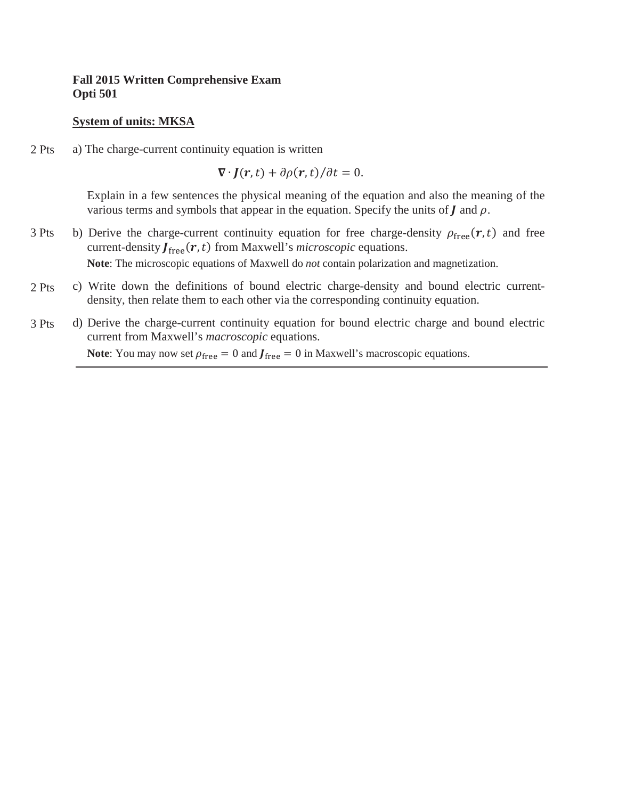### **System of units: MKSA**

a) The charge-current continuity equation is written 2 Pts

 $\nabla \cdot \mathbf{J}(\mathbf{r},t) + \partial \rho(\mathbf{r},t)/\partial t = 0.$ 

Explain in a few sentences the physical meaning of the equation and also the meaning of the various terms and symbols that appear in the equation. Specify the units of  $\boldsymbol{J}$  and  $\rho$ .

- b) Derive the charge-current continuity equation for free charge-density  $\rho_{\text{free}}(\mathbf{r},t)$  and free current-density  $J_{\text{free}}(r, t)$  from Maxwell's *microscopic* equations. **Note**: The microscopic equations of Maxwell do *not* contain polarization and magnetization. 3 Pts
- c) Write down the definitions of bound electric charge-density and bound electric currentdensity, then relate them to each other via the corresponding continuity equation. 2 Pts
- d) Derive the charge-current continuity equation for bound electric charge and bound electric current from Maxwell's *macroscopic* equations. 3 Pts

**Note:** You may now set  $\rho_{\text{free}} = 0$  and  $J_{\text{free}} = 0$  in Maxwell's macroscopic equations.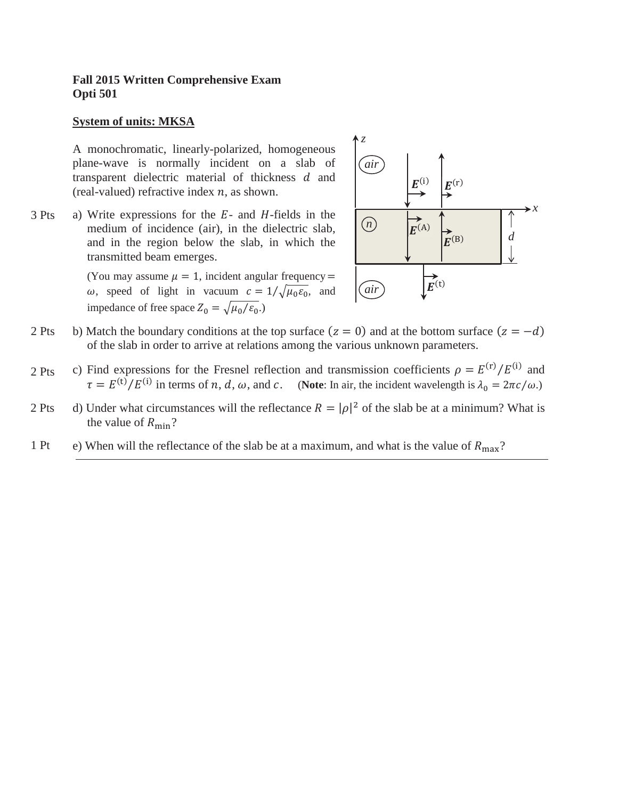### **System of units: MKSA**

A monochromatic, linearly-polarized, homogeneous plane-wave is normally incident on a slab of transparent dielectric material of thickness  $d$  and (real-valued) refractive index  $n$ , as shown.

a) Write expressions for the  $E$ - and  $H$ -fields in the medium of incidence (air), in the dielectric slab, and in the region below the slab, in which the transmitted beam emerges. 3 Pts

> (You may assume  $\mu = 1$ , incident angular frequency = ω, speed of light in vacuum  $c = 1/\sqrt{\mu_0 \epsilon_0}$ , and impedance of free space  $Z_0 = \sqrt{\mu_0/\varepsilon_0}$ .



- b) Match the boundary conditions at the top surface  $(z = 0)$  and at the bottom surface  $(z = -d)$ of the slab in order to arrive at relations among the various unknown parameters. 2 Pts
- c) Find expressions for the Fresnel reflection and transmission coefficients  $\rho = E^{(r)}/E^{(i)}$  and  $\tau = E^{(t)}/E^{(i)}$  in terms of *n*, *d*, *ω*, and *c*. (Note: In air, the incident wavelength is  $\lambda_0 = 2\pi c/\omega$ .) 2 Pts
- d) Under what circumstances will the reflectance  $R = |\rho|^2$  of the slab be at a minimum? What is the value of  $R_{\text{min}}$ ? 2 Pts
- e) When will the reflectance of the slab be at a maximum, and what is the value of  $R_{\text{max}}$ ? 1 Pt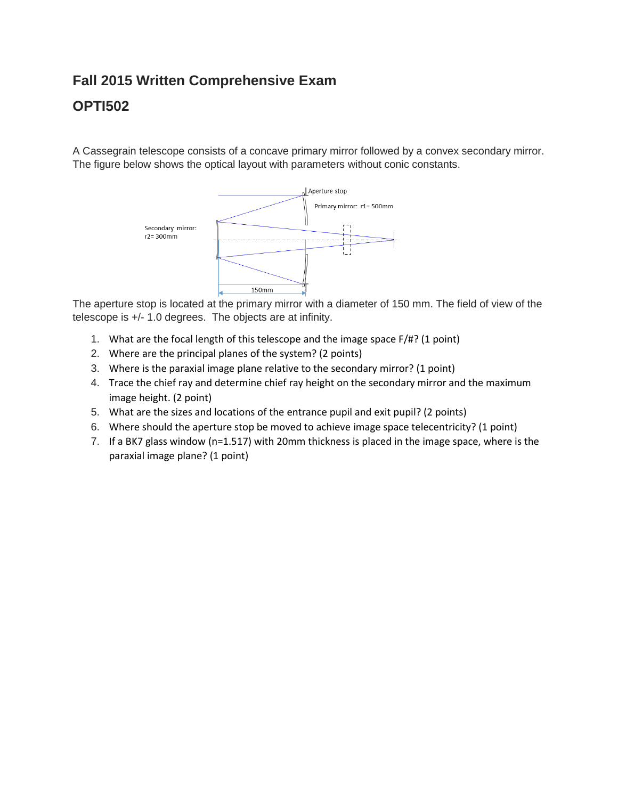## **OPTI502**

A Cassegrain telescope consists of a concave primary mirror followed by a convex secondary mirror. The figure below shows the optical layout with parameters without conic constants.



The aperture stop is located at the primary mirror with a diameter of 150 mm. The field of view of the telescope is +/- 1.0 degrees. The objects are at infinity.

- 1. What are the focal length of this telescope and the image space F/#? (1 point)
- 2. Where are the principal planes of the system? (2 points)
- 3. Where is the paraxial image plane relative to the secondary mirror? (1 point)
- 4. Trace the chief ray and determine chief ray height on the secondary mirror and the maximum image height. (2 point)
- 5. What are the sizes and locations of the entrance pupil and exit pupil? (2 points)
- 6. Where should the aperture stop be moved to achieve image space telecentricity? (1 point)
- 7. If a BK7 glass window (n=1.517) with 20mm thickness is placed in the image space, where is the paraxial image plane? (1 point)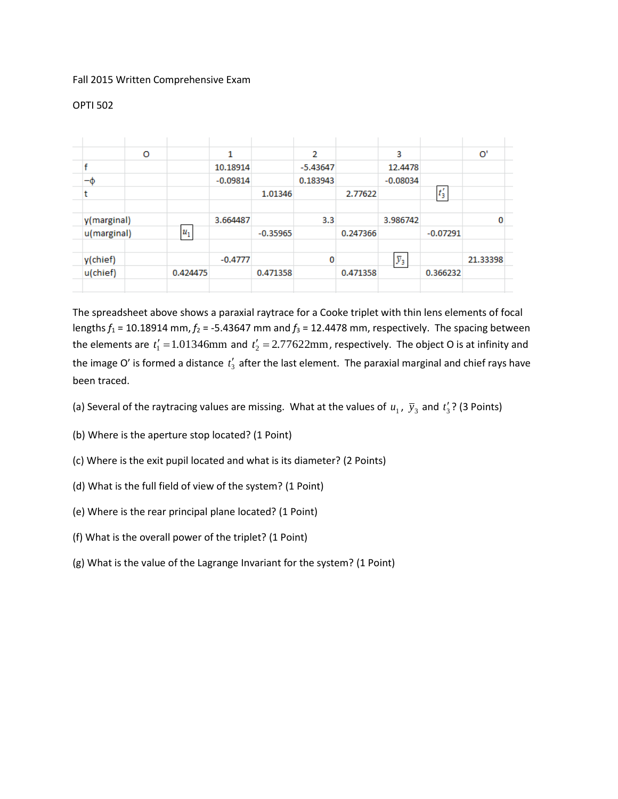### OPTI 502

|             | O           |          | 1          |            | 2          |          | 3                |            | O'       |
|-------------|-------------|----------|------------|------------|------------|----------|------------------|------------|----------|
| £           |             |          | 10.18914   |            | $-5.43647$ |          | 12,4478          |            |          |
| $-\Phi$     |             |          | $-0.09814$ |            | 0.183943   |          | $-0.08034$       |            |          |
|             |             |          |            | 1.01346    |            | 2.77622  |                  | $t'_3$     |          |
|             |             |          |            |            |            |          |                  |            |          |
|             | y(marginal) |          | 3.664487   |            | 3.3        |          | 3.986742         |            | 0        |
| u(marginal) |             | $u_1$    |            | $-0.35965$ |            | 0.247366 |                  | $-0.07291$ |          |
|             |             |          |            |            |            |          |                  |            |          |
| y(chief)    |             |          | $-0.4777$  |            | 0          |          | $\overline{y}_3$ |            | 21.33398 |
| u(chief)    |             | 0.424475 |            | 0.471358   |            | 0.471358 |                  | 0.366232   |          |
|             |             |          |            |            |            |          |                  |            |          |

The spreadsheet above shows a paraxial raytrace for a Cooke triplet with thin lens elements of focal lengths  $f_1$  = 10.18914 mm,  $f_2$  = -5.43647 mm and  $f_3$  = 12.4478 mm, respectively. The spacing between the elements are  $t'_1 = 1.01346$ mm and  $t'_2 = 2.77622$ mm, respectively. The object O is at infinity and the image O' is formed a distance  $t'_3$  after the last element. The paraxial marginal and chief rays have been traced.

- (a) Several of the raytracing values are missing. What at the values of  $u_1$ ,  $\bar{y}_3$  and  $t'_3$ ? (3 Points)
- (b) Where is the aperture stop located? (1 Point)
- (c) Where is the exit pupil located and what is its diameter? (2 Points)
- (d) What is the full field of view of the system? (1 Point)
- (e) Where is the rear principal plane located? (1 Point)
- (f) What is the overall power of the triplet? (1 Point)
- (g) What is the value of the Lagrange Invariant for the system? (1 Point)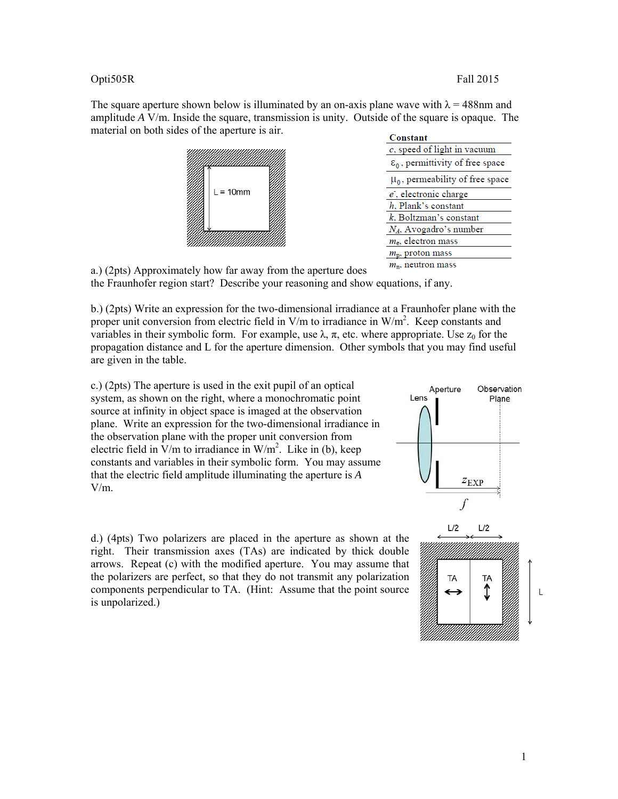### Opti505R Fall 2015

The square aperture shown below is illuminated by an on-axis plane wave with  $\lambda = 488$ nm and amplitude *A* V/m. Inside the square, transmission is unity. Outside of the square is opaque. The material on both sides of the aperture is air.



| Constant                                     |  |  |  |  |  |
|----------------------------------------------|--|--|--|--|--|
| $c$ , speed of light in vacuum               |  |  |  |  |  |
| $\varepsilon_0$ , permittivity of free space |  |  |  |  |  |
| $\mu_0$ , permeability of free space         |  |  |  |  |  |
| $e$ , electronic charge                      |  |  |  |  |  |
| h. Plank's constant                          |  |  |  |  |  |
| $k$ , Boltzman's constant                    |  |  |  |  |  |
| $N_A$ , Avogadro's number                    |  |  |  |  |  |
| $m_e$ , electron mass                        |  |  |  |  |  |
| $m_{\rm p}$ , proton mass                    |  |  |  |  |  |
| <i>m.</i> neutron mass                       |  |  |  |  |  |

a.) (2pts) Approximately how far away from the aperture does the Fraunhofer region start? Describe your reasoning and show equations, if any.

b.) (2pts) Write an expression for the two-dimensional irradiance at a Fraunhofer plane with the proper unit conversion from electric field in  $V/m$  to irradiance in  $W/m<sup>2</sup>$ . Keep constants and variables in their symbolic form. For example, use  $\lambda$ ,  $\pi$ , etc. where appropriate. Use  $z_0$  for the propagation distance and L for the aperture dimension. Other symbols that you may find useful are given in the table.

c.) (2pts) The aperture is used in the exit pupil of an optical system, as shown on the right, where a monochromatic point source at infinity in object space is imaged at the observation plane. Write an expression for the two-dimensional irradiance in the observation plane with the proper unit conversion from electric field in  $V/m$  to irradiance in W/m<sup>2</sup>. Like in (b), keep constants and variables in their symbolic form. You may assume that the electric field amplitude illuminating the aperture is *A* V/m.

d.) (4pts) Two polarizers are placed in the aperture as shown at the right. Their transmission axes (TAs) are indicated by thick double arrows. Repeat (c) with the modified aperture. You may assume that the polarizers are perfect, so that they do not transmit any polarization components perpendicular to TA. (Hint: Assume that the point source is unpolarized.)



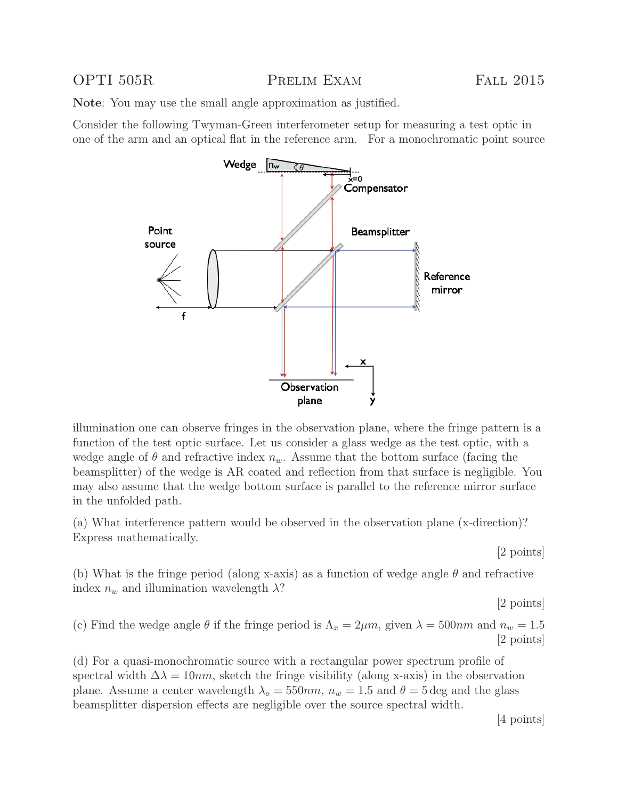OPTI 505R PRELIM EXAM FALL 2015

**Note**: You may use the small angle approximation as justified.

Consider the following Twyman-Green interferometer setup for measuring a test optic in one of the arm and an optical flat in the reference arm. For a monochromatic point source



illumination one can observe fringes in the observation plane, where the fringe pattern is a function of the test optic surface. Let us consider a glass wedge as the test optic, with a wedge angle of  $\theta$  and refractive index  $n_w$ . Assume that the bottom surface (facing the beamsplitter) of the wedge is AR coated and reflection from that surface is negligible. You may also assume that the wedge bottom surface is parallel to the reference mirror surface in the unfolded path.

(a) What interference pattern would be observed in the observation plane (x-direction)? Express mathematically.

[2 points]

(b) What is the fringe period (along x-axis) as a function of wedge angle  $\theta$  and refractive index  $n_w$  and illumination wavelength  $\lambda$ ?

[2 points]

(c) Find the wedge angle  $\theta$  if the fringe period is  $\Lambda_x = 2\mu m$ , given  $\lambda = 500nm$  and  $n_w = 1.5$ [2 points]

(d) For a quasi-monochromatic source with a rectangular power spectrum profile of spectral width  $\Delta \lambda = 10nm$ , sketch the fringe visibility (along x-axis) in the observation plane. Assume a center wavelength  $\lambda_o = 550nm$ ,  $n_w = 1.5$  and  $\theta = 5$  deg and the glass beamsplitter dispersion effects are negligible over the source spectral width.

[4 points]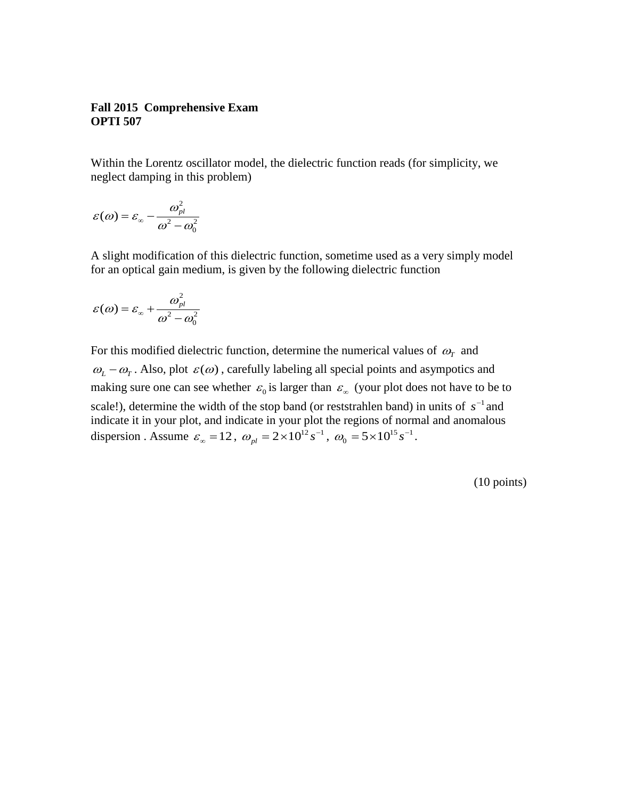### **Fall 2015 Comprehensive Exam OPTI 507**

Within the Lorentz oscillator model, the dielectric function reads (for simplicity, we neglect damping in this problem)

$$
\varepsilon(\omega) = \varepsilon_{\infty} - \frac{\omega_{pl}^2}{\omega^2 - \omega_0^2}
$$

A slight modification of this dielectric function, sometime used as a very simply model for an optical gain medium, is given by the following dielectric function

$$
\varepsilon(\omega) = \varepsilon_{\infty} + \frac{\omega_{pl}^2}{\omega^2 - \omega_0^2}
$$

For this modified dielectric function, determine the numerical values of  $\omega_T$  and  $\omega_L - \omega_T$ . Also, plot  $\varepsilon(\omega)$ , carefully labeling all special points and asympotics and making sure one can see whether  $\varepsilon_0$  is larger than  $\varepsilon_{\infty}$  (your plot does not have to be to scale!), determine the width of the stop band (or reststrahlen band) in units of  $s^{-1}$  and indicate it in your plot, and indicate in your plot the regions of normal and anomalous dispersion . Assume  $\varepsilon_{\infty} = 12$ ,  $\omega_{pl} = 2 \times 10^{12} s^{-1}$ ,  $\omega_0 = 5 \times 10^{15} s^{-1}$ .

(10 points)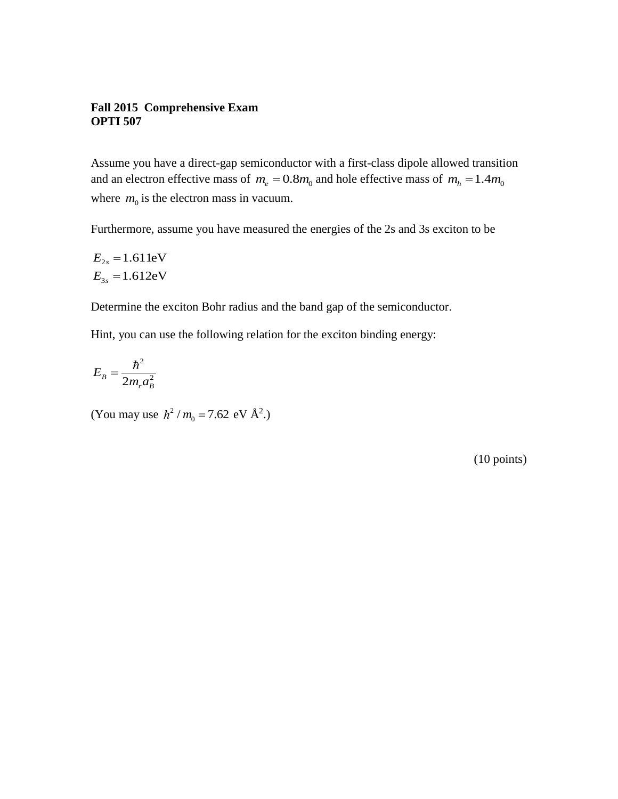### **Fall 2015 Comprehensive Exam OPTI 507**

Assume you have a direct-gap semiconductor with a first-class dipole allowed transition and an electron effective mass of  $m_e = 0.8m_0$  and hole effective mass of  $m_h = 1.4m_0$ where  $m_0$  is the electron mass in vacuum.

Furthermore, assume you have measured the energies of the 2s and 3s exciton to be

$$
E_{2s} = 1.611 \text{eV}
$$

$$
E_{3s} = 1.612 \text{eV}
$$

Determine the exciton Bohr radius and the band gap of the semiconductor.

Hint, you can use the following relation for the exciton binding energy:

$$
E_B = \frac{\hbar^2}{2m_r a_B^2}
$$

(You may use  $\hbar^2$  $/m_0 = 7.62 \text{ eV } \text{\AA}^2.$ 

(10 points)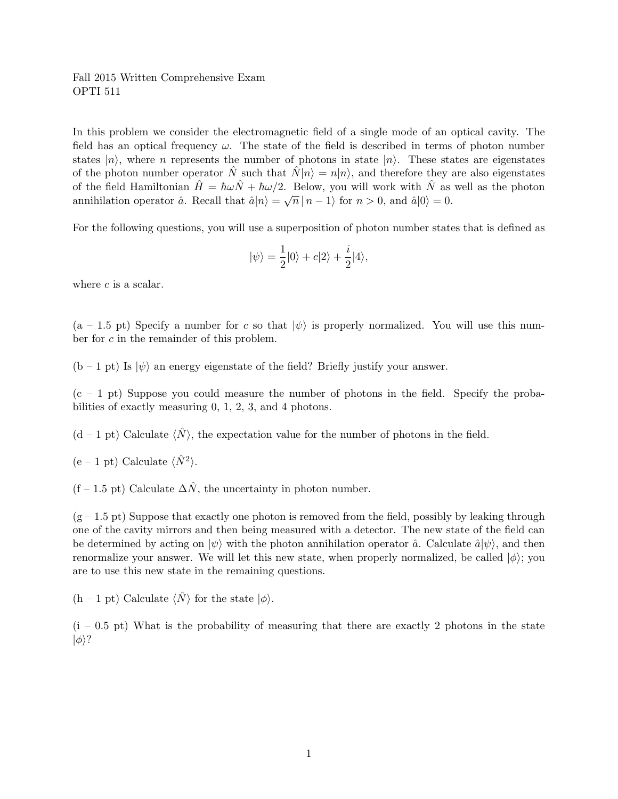In this problem we consider the electromagnetic field of a single mode of an optical cavity. The field has an optical frequency  $\omega$ . The state of the field is described in terms of photon number states  $|n\rangle$ , where n represents the number of photons in state  $|n\rangle$ . These states are eigenstates of the photon number operator  $\hat{N}$  such that  $\hat{N}|n\rangle = n|n\rangle$ , and therefore they are also eigenstates of the field Hamiltonian  $\hat{H} = \hbar \omega \hat{N} + \hbar \omega/2$ . Below, you will work with  $\hat{N}$  as well as the photon annihilation operator  $\hat{a}$ . Recall that  $\hat{a}|n\rangle = \sqrt{n} |n-1\rangle$  for  $n > 0$ , and  $\hat{a}|0\rangle = 0$ .

For the following questions, you will use a superposition of photon number states that is defined as

$$
|\psi\rangle=\frac{1}{2}|0\rangle+c|2\rangle+\frac{i}{2}|4\rangle,
$$

where  $c$  is a scalar.

 $(a - 1.5 \text{ pt})$  Specify a number for c so that  $|\psi\rangle$  is properly normalized. You will use this number for c in the remainder of this problem.

 $(b - 1 \text{ pt})$  Is  $|\psi\rangle$  an energy eigenstate of the field? Briefly justify your answer.

 $(c - 1$  pt) Suppose you could measure the number of photons in the field. Specify the probabilities of exactly measuring 0, 1, 2, 3, and 4 photons.

 $(d-1$  pt) Calculate  $\langle N \rangle$ , the expectation value for the number of photons in the field.

 $(e - 1 pt)$  Calculate  $\langle \hat{N}^2 \rangle$ .

 $(f - 1.5 \text{ pt})$  Calculate  $\Delta \hat{N}$ , the uncertainty in photon number.

 $(g - 1.5 \text{ pt})$  Suppose that exactly one photon is removed from the field, possibly by leaking through one of the cavity mirrors and then being measured with a detector. The new state of the field can be determined by acting on  $|\psi\rangle$  with the photon annihilation operator  $\hat{a}$ . Calculate  $\hat{a}|\psi\rangle$ , and then renormalize your answer. We will let this new state, when properly normalized, be called  $|\phi\rangle$ ; you are to use this new state in the remaining questions.

 $(h - 1 \text{ pt})$  Calculate  $\langle N \rangle$  for the state  $|\phi\rangle$ .

 $(i - 0.5 \text{ pt})$  What is the probability of measuring that there are exactly 2 photons in the state  $|\phi\rangle$ ?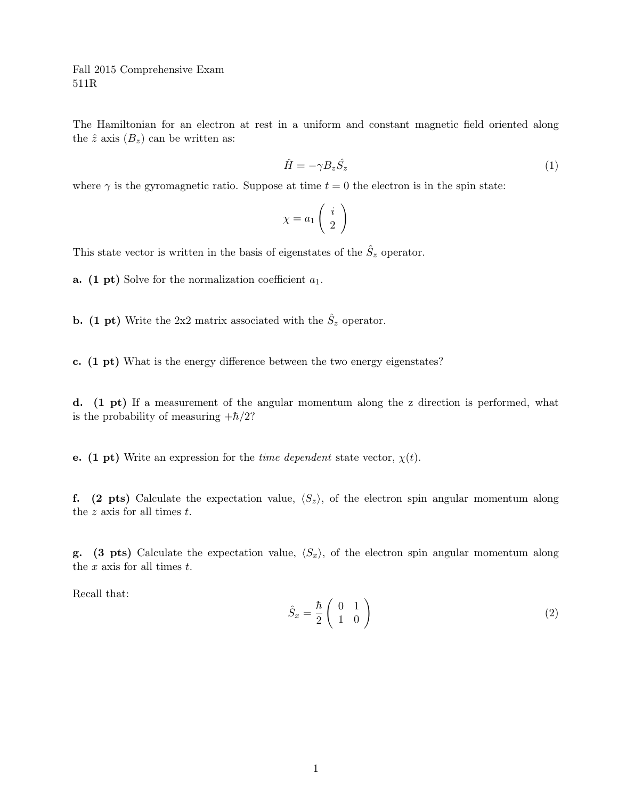Fall 2015 Comprehensive Exam 511R

The Hamiltonian for an electron at rest in a uniform and constant magnetic field oriented along the  $\hat{z}$  axis  $(B_z)$  can be written as:

$$
\hat{H} = -\gamma B_z \hat{S}_z \tag{1}
$$

where  $\gamma$  is the gyromagnetic ratio. Suppose at time  $t = 0$  the electron is in the spin state:

$$
\chi = a_1 \left( \begin{array}{c} i \\ 2 \end{array} \right)
$$

This state vector is written in the basis of eigenstates of the  $\hat{S}_z$  operator.

**a.** (1 pt) Solve for the normalization coefficient  $a_1$ .

**b.** (1 pt) Write the 2x2 matrix associated with the  $\hat{S}_z$  operator.

c. (1 pt) What is the energy difference between the two energy eigenstates?

d. (1 pt) If a measurement of the angular momentum along the z direction is performed, what is the probability of measuring  $+\hbar/2$ ?

e. (1 pt) Write an expression for the *time dependent* state vector,  $\chi(t)$ .

f. (2 pts) Calculate the expectation value,  $\langle S_z \rangle$ , of the electron spin angular momentum along the  $z$  axis for all times  $t$ .

**g.** (3 pts) Calculate the expectation value,  $\langle S_x \rangle$ , of the electron spin angular momentum along the  $x$  axis for all times  $t$ .

Recall that:

$$
\hat{S}_x = \frac{\hbar}{2} \begin{pmatrix} 0 & 1\\ 1 & 0 \end{pmatrix} \tag{2}
$$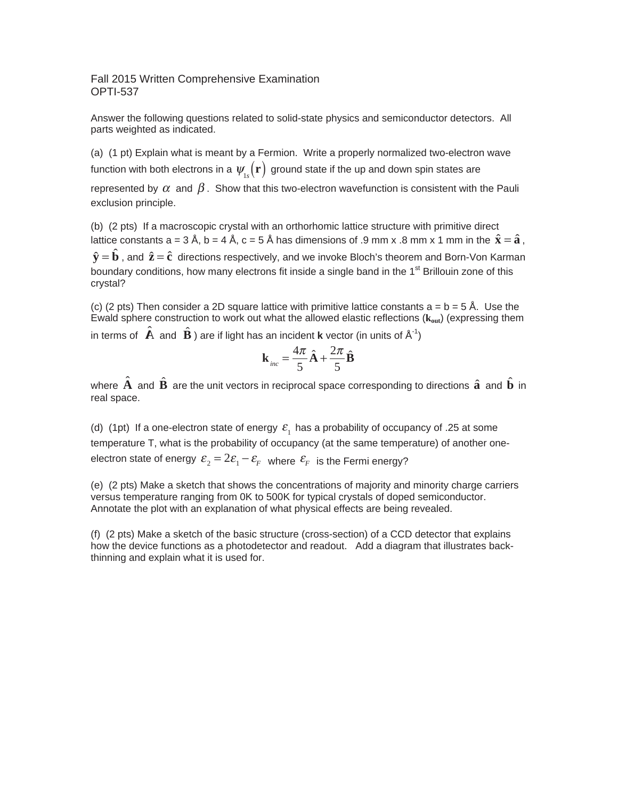Fall 2015 Written Comprehensive Examination OPTI-537

Answer the following questions related to solid-state physics and semiconductor detectors. All parts weighted as indicated.

(a) (1 pt) Explain what is meant by a Fermion. Write a properly normalized two-electron wave function with both electrons in a  $\psi_{1s}(\mathbf{r})$  ground state if the up and down spin states are

represented by  $\alpha$  and  $\beta$ . Show that this two-electron wavefunction is consistent with the Pauli exclusion principle.

(b) (2 pts) If a macroscopic crystal with an orthorhomic lattice structure with primitive direct lattice constants a = 3 Å, b = 4 Å, c = 5 Å has dimensions of .9 mm x .8 mm x 1 mm in the  $\hat{\mathbf{x}} = \hat{\mathbf{a}}$ .  $\hat{\mathbf{y}} = \hat{\mathbf{b}}$ , and  $\hat{\mathbf{z}} = \hat{\mathbf{c}}$  directions respectively, and we invoke Bloch's theorem and Born-Von Karman boundary conditions, how many electrons fit inside a single band in the  $1<sup>st</sup>$  Brillouin zone of this crystal?

(c) (2 pts) Then consider a 2D square lattice with primitive lattice constants  $a = b = 5 \text{ Å}$ . Use the Ewald sphere construction to work out what the allowed elastic reflections (**kout**) (expressing them

in terms of  $\hat{\mathbf{A}}$  and  $\hat{\mathbf{B}}$  ) are if light has an incident **k** vector (in units of  $A^{-1}$ )

$$
\mathbf{k}_{inc} = \frac{4\pi}{5}\hat{\mathbf{A}} + \frac{2\pi}{5}\hat{\mathbf{B}}
$$

where **A**ˆ and **B**ˆ are the unit vectors in reciprocal space corresponding to directions **a**ˆ and **b**ˆ in real space.

(d) (1pt) If a one-electron state of energy  $\varepsilon_1$  has a probability of occupancy of .25 at some temperature T, what is the probability of occupancy (at the same temperature) of another oneelectron state of energy  $\varepsilon_2 = 2\varepsilon_1 - \varepsilon_F$  where  $\varepsilon_F$  is the Fermi energy?

(e) (2 pts) Make a sketch that shows the concentrations of majority and minority charge carriers versus temperature ranging from 0K to 500K for typical crystals of doped semiconductor. Annotate the plot with an explanation of what physical effects are being revealed.

(f) (2 pts) Make a sketch of the basic structure (cross-section) of a CCD detector that explains how the device functions as a photodetector and readout. Add a diagram that illustrates backthinning and explain what it is used for.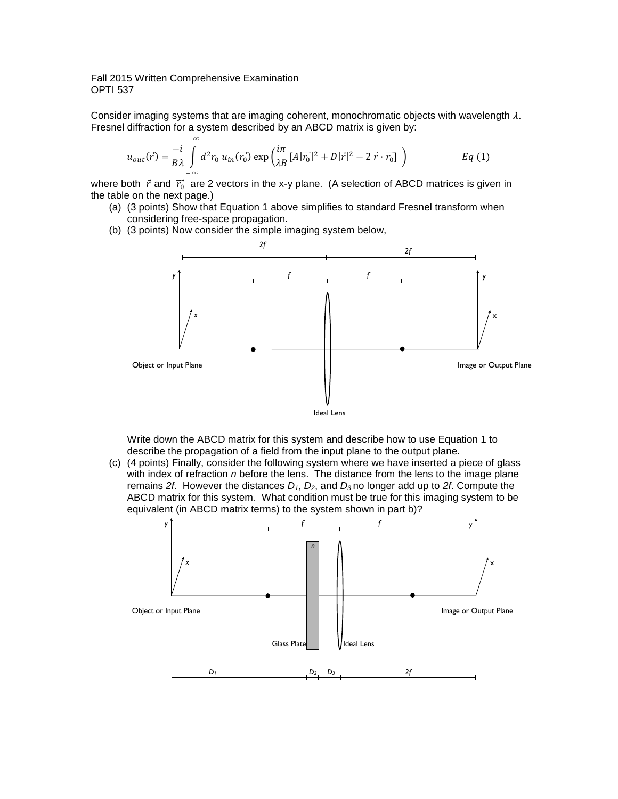### Fall 2015 Written Comprehensive Examination OPTI 537

∞

Consider imaging systems that are imaging coherent, monochromatic objects with wavelength  $\lambda$ . Fresnel diffraction for a system described by an ABCD matrix is given by:

$$
u_{out}(\vec{r}) = \frac{-i}{B\lambda} \int_{-\infty} d^2 r_0 u_{in}(\vec{r_0}) \exp\left(\frac{i\pi}{\lambda B} [A|\vec{r_0}|^2 + D|\vec{r}|^2 - 2\vec{r} \cdot \vec{r_0}] \right)
$$
 Eq (1)

where both  $\vec{r}$  and  $\vec{r_0}$  are 2 vectors in the x-y plane. (A selection of ABCD matrices is given in the table on the next page.)

- (a) (3 points) Show that Equation 1 above simplifies to standard Fresnel transform when considering free-space propagation.
- (b) (3 points) Now consider the simple imaging system below,



Write down the ABCD matrix for this system and describe how to use Equation 1 to describe the propagation of a field from the input plane to the output plane.

(c) (4 points) Finally, consider the following system where we have inserted a piece of glass with index of refraction *n* before the lens. The distance from the lens to the image plane remains *2f*. However the distances *D1*, *D2*, and *D3* no longer add up to *2f*. Compute the ABCD matrix for this system. What condition must be true for this imaging system to be equivalent (in ABCD matrix terms) to the system shown in part b)?

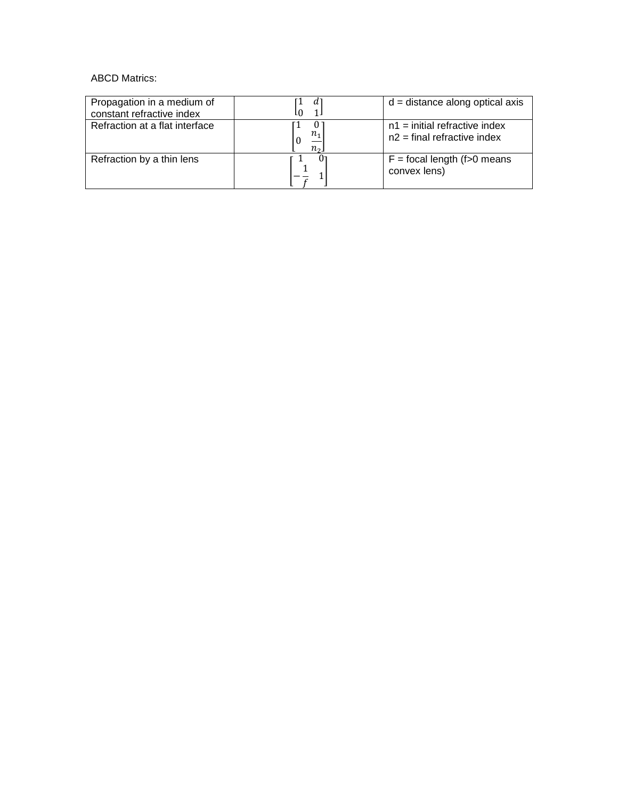### ABCD Matrics:

| Propagation in a medium of<br>constant refractive index |                              | $d = distance$ along optical axis                                |
|---------------------------------------------------------|------------------------------|------------------------------------------------------------------|
| Refraction at a flat interface                          | U<br>$n_{1}$<br>$n_{\Omega}$ | $n1$ = initial refractive index<br>$n2$ = final refractive index |
| Refraction by a thin lens                               |                              | $F =$ focal length (f > 0 means<br>convex lens)                  |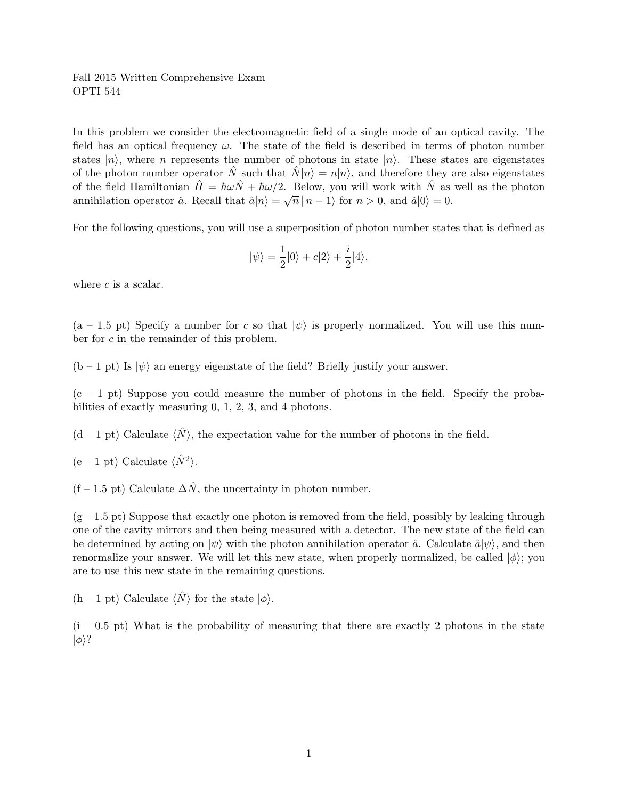In this problem we consider the electromagnetic field of a single mode of an optical cavity. The field has an optical frequency  $\omega$ . The state of the field is described in terms of photon number states  $|n\rangle$ , where n represents the number of photons in state  $|n\rangle$ . These states are eigenstates of the photon number operator  $\hat{N}$  such that  $\hat{N}|n\rangle = n|n\rangle$ , and therefore they are also eigenstates of the field Hamiltonian  $\hat{H} = \hbar \omega \hat{N} + \hbar \omega/2$ . Below, you will work with  $\hat{N}$  as well as the photon annihilation operator  $\hat{a}$ . Recall that  $\hat{a}|n\rangle = \sqrt{n} |n-1\rangle$  for  $n > 0$ , and  $\hat{a}|0\rangle = 0$ .

For the following questions, you will use a superposition of photon number states that is defined as

$$
|\psi\rangle=\frac{1}{2}|0\rangle+c|2\rangle+\frac{i}{2}|4\rangle,
$$

where  $c$  is a scalar.

 $(a - 1.5 \text{ pt})$  Specify a number for c so that  $|\psi\rangle$  is properly normalized. You will use this number for c in the remainder of this problem.

 $(b - 1 \text{ pt})$  Is  $|\psi\rangle$  an energy eigenstate of the field? Briefly justify your answer.

 $(c - 1$  pt) Suppose you could measure the number of photons in the field. Specify the probabilities of exactly measuring 0, 1, 2, 3, and 4 photons.

 $(d-1$  pt) Calculate  $\langle N \rangle$ , the expectation value for the number of photons in the field.

 $(e - 1 pt)$  Calculate  $\langle \hat{N}^2 \rangle$ .

 $(f - 1.5 \text{ pt})$  Calculate  $\Delta \hat{N}$ , the uncertainty in photon number.

 $(g - 1.5 \text{ pt})$  Suppose that exactly one photon is removed from the field, possibly by leaking through one of the cavity mirrors and then being measured with a detector. The new state of the field can be determined by acting on  $|\psi\rangle$  with the photon annihilation operator  $\hat{a}$ . Calculate  $\hat{a}|\psi\rangle$ , and then renormalize your answer. We will let this new state, when properly normalized, be called  $|\phi\rangle$ ; you are to use this new state in the remaining questions.

 $(h - 1 \text{ pt})$  Calculate  $\langle N \rangle$  for the state  $|\phi\rangle$ .

 $(i - 0.5 \text{ pt})$  What is the probability of measuring that there are exactly 2 photons in the state  $|\phi\rangle$ ?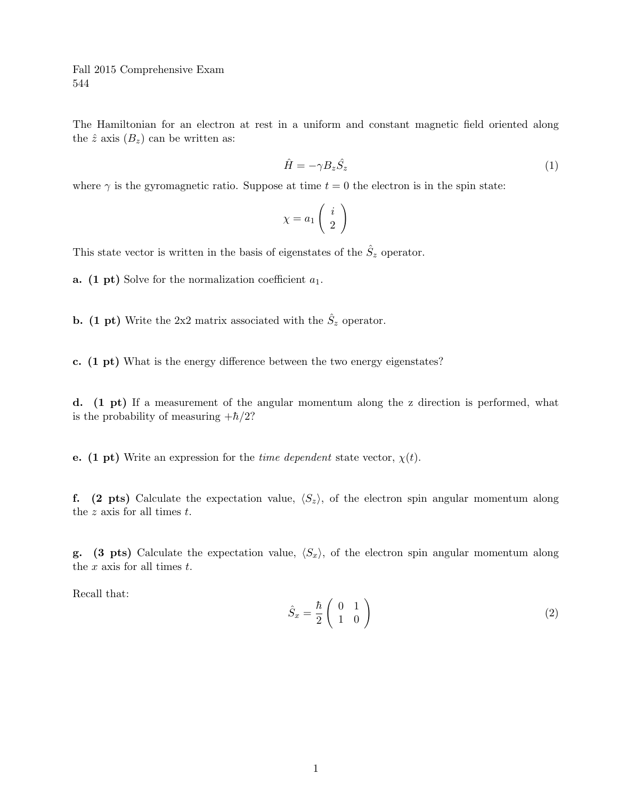Fall 2015 Comprehensive Exam 544

The Hamiltonian for an electron at rest in a uniform and constant magnetic field oriented along the  $\hat{z}$  axis  $(B_z)$  can be written as:

$$
\hat{H} = -\gamma B_z \hat{S}_z \tag{1}
$$

where  $\gamma$  is the gyromagnetic ratio. Suppose at time  $t = 0$  the electron is in the spin state:

$$
\chi = a_1 \left( \begin{array}{c} i \\ 2 \end{array} \right)
$$

This state vector is written in the basis of eigenstates of the  $\hat{S}_z$  operator.

**a.** (1 pt) Solve for the normalization coefficient  $a_1$ .

**b.** (1 pt) Write the 2x2 matrix associated with the  $\hat{S}_z$  operator.

c. (1 pt) What is the energy difference between the two energy eigenstates?

d. (1 pt) If a measurement of the angular momentum along the z direction is performed, what is the probability of measuring  $+\hbar/2$ ?

e. (1 pt) Write an expression for the *time dependent* state vector,  $\chi(t)$ .

f. (2 pts) Calculate the expectation value,  $\langle S_z \rangle$ , of the electron spin angular momentum along the  $z$  axis for all times  $t$ .

**g.** (3 pts) Calculate the expectation value,  $\langle S_x \rangle$ , of the electron spin angular momentum along the  $x$  axis for all times  $t$ .

Recall that:

$$
\hat{S}_x = \frac{\hbar}{2} \begin{pmatrix} 0 & 1\\ 1 & 0 \end{pmatrix} \tag{2}
$$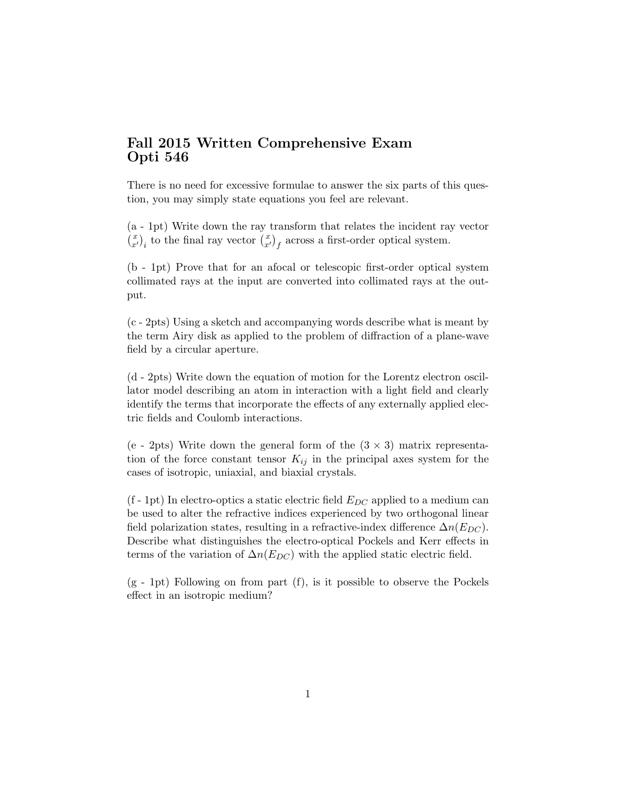There is no need for excessive formulae to answer the six parts of this question, you may simply state equations you feel are relevant.

(a - 1pt) Write down the ray transform that relates the incident ray vector  $\begin{pmatrix} x \\ x' \end{pmatrix}_i$  to the final ray vector  $\begin{pmatrix} x \\ x' \end{pmatrix}_f$  across a first-order optical system.

(b - 1pt) Prove that for an afocal or telescopic first-order optical system collimated rays at the input are converted into collimated rays at the output.

(c - 2pts) Using a sketch and accompanying words describe what is meant by the term Airy disk as applied to the problem of diffraction of a plane-wave field by a circular aperture.

(d - 2pts) Write down the equation of motion for the Lorentz electron oscillator model describing an atom in interaction with a light field and clearly identify the terms that incorporate the effects of any externally applied electric fields and Coulomb interactions.

(e - 2pts) Write down the general form of the  $(3 \times 3)$  matrix representation of the force constant tensor  $K_{ij}$  in the principal axes system for the cases of isotropic, uniaxial, and biaxial crystals.

 $(f - 1pt)$  In electro-optics a static electric field  $E_{DC}$  applied to a medium can be used to alter the refractive indices experienced by two orthogonal linear field polarization states, resulting in a refractive-index difference  $\Delta n(E_{DC})$ . Describe what distinguishes the electro-optical Pockels and Kerr effects in terms of the variation of  $\Delta n(E_{DC})$  with the applied static electric field.

(g - 1pt) Following on from part (f), is it possible to observe the Pockels effect in an isotropic medium?